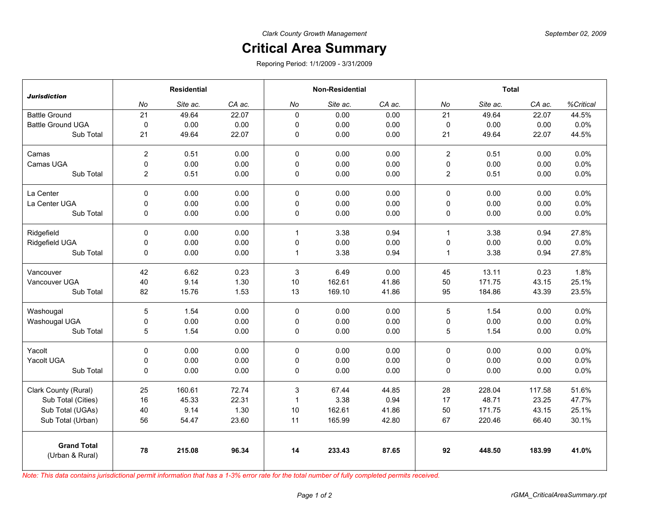## **Critical Area Summary**

Reporing Period: 1/1/2009 - 3/31/2009

| <b>Jurisdiction</b>                   | <b>Residential</b> |          |        | <b>Non-Residential</b> |          |        | <b>Total</b>   |          |        |           |
|---------------------------------------|--------------------|----------|--------|------------------------|----------|--------|----------------|----------|--------|-----------|
|                                       | No                 | Site ac. | CA ac. | No                     | Site ac. | CA ac. | No             | Site ac. | CA ac. | %Critical |
| <b>Battle Ground</b>                  | 21                 | 49.64    | 22.07  | $\Omega$               | 0.00     | 0.00   | 21             | 49.64    | 22.07  | 44.5%     |
| <b>Battle Ground UGA</b>              | 0                  | 0.00     | 0.00   | 0                      | 0.00     | 0.00   | $\mathbf 0$    | 0.00     | 0.00   | 0.0%      |
| Sub Total                             | 21                 | 49.64    | 22.07  | 0                      | 0.00     | 0.00   | 21             | 49.64    | 22.07  | 44.5%     |
| Camas                                 | $\overline{c}$     | 0.51     | 0.00   | $\mathbf 0$            | 0.00     | 0.00   | $\overline{2}$ | 0.51     | 0.00   | 0.0%      |
| Camas UGA                             | 0                  | 0.00     | 0.00   | 0                      | 0.00     | 0.00   | 0              | 0.00     | 0.00   | 0.0%      |
| Sub Total                             | $\overline{c}$     | 0.51     | 0.00   | 0                      | 0.00     | 0.00   | $\overline{2}$ | 0.51     | 0.00   | 0.0%      |
| La Center                             | 0                  | 0.00     | 0.00   | $\Omega$               | 0.00     | 0.00   | $\mathbf 0$    | 0.00     | 0.00   | 0.0%      |
| La Center UGA                         | 0                  | 0.00     | 0.00   | 0                      | 0.00     | 0.00   | 0              | 0.00     | 0.00   | 0.0%      |
| Sub Total                             | 0                  | 0.00     | 0.00   | 0                      | 0.00     | 0.00   | 0              | 0.00     | 0.00   | 0.0%      |
| Ridgefield                            | 0                  | 0.00     | 0.00   | $\mathbf{1}$           | 3.38     | 0.94   | $\mathbf{1}$   | 3.38     | 0.94   | 27.8%     |
| Ridgefield UGA                        | 0                  | 0.00     | 0.00   | 0                      | 0.00     | 0.00   | 0              | 0.00     | 0.00   | 0.0%      |
| Sub Total                             | 0                  | 0.00     | 0.00   | $\mathbf{1}$           | 3.38     | 0.94   | $\mathbf{1}$   | 3.38     | 0.94   | 27.8%     |
| Vancouver                             | 42                 | 6.62     | 0.23   | $\mathbf{3}$           | 6.49     | 0.00   | 45             | 13.11    | 0.23   | 1.8%      |
| Vancouver UGA                         | 40                 | 9.14     | 1.30   | 10                     | 162.61   | 41.86  | 50             | 171.75   | 43.15  | 25.1%     |
| Sub Total                             | 82                 | 15.76    | 1.53   | 13                     | 169.10   | 41.86  | 95             | 184.86   | 43.39  | 23.5%     |
| Washougal                             | 5                  | 1.54     | 0.00   | $\mathbf 0$            | 0.00     | 0.00   | $\overline{5}$ | 1.54     | 0.00   | 0.0%      |
| Washougal UGA                         | 0                  | 0.00     | 0.00   | $\mathbf 0$            | 0.00     | 0.00   | $\pmb{0}$      | 0.00     | 0.00   | 0.0%      |
| Sub Total                             | 5                  | 1.54     | 0.00   | 0                      | 0.00     | 0.00   | 5              | 1.54     | 0.00   | 0.0%      |
| Yacolt                                | 0                  | 0.00     | 0.00   | $\mathbf 0$            | 0.00     | 0.00   | $\pmb{0}$      | 0.00     | 0.00   | 0.0%      |
| Yacolt UGA                            | 0                  | 0.00     | 0.00   | 0                      | 0.00     | 0.00   | 0              | 0.00     | 0.00   | 0.0%      |
| Sub Total                             | 0                  | 0.00     | 0.00   | 0                      | 0.00     | 0.00   | 0              | 0.00     | 0.00   | 0.0%      |
| Clark County (Rural)                  | 25                 | 160.61   | 72.74  | 3                      | 67.44    | 44.85  | 28             | 228.04   | 117.58 | 51.6%     |
| Sub Total (Cities)                    | 16                 | 45.33    | 22.31  | $\overline{1}$         | 3.38     | 0.94   | 17             | 48.71    | 23.25  | 47.7%     |
| Sub Total (UGAs)                      | 40                 | 9.14     | 1.30   | 10                     | 162.61   | 41.86  | 50             | 171.75   | 43.15  | 25.1%     |
| Sub Total (Urban)                     | 56                 | 54.47    | 23.60  | 11                     | 165.99   | 42.80  | 67             | 220.46   | 66.40  | 30.1%     |
| <b>Grand Total</b><br>(Urban & Rural) | 78                 | 215.08   | 96.34  | 14                     | 233.43   | 87.65  | 92             | 448.50   | 183.99 | 41.0%     |

*Note: This data contains jurisdictional permit information that has a 1-3% error rate for the total number of fully completed permits received.*